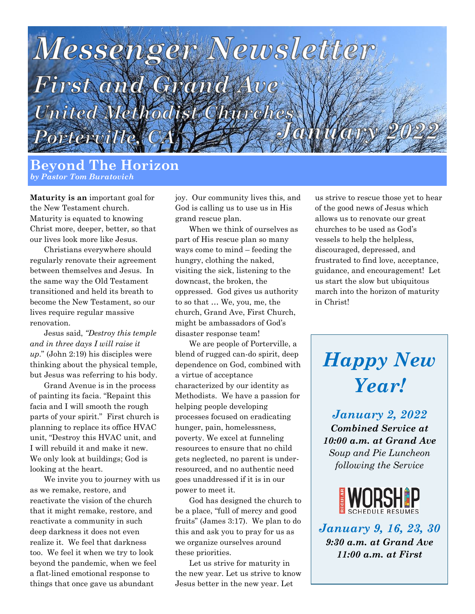

#### **Beyond The Horizon** *by Pastor Tom Buratovich*

**Maturity is an** important goal for the New Testament church. Maturity is equated to knowing Christ more, deeper, better, so that our lives look more like Jesus.

Christians everywhere should regularly renovate their agreement between themselves and Jesus. In the same way the Old Testament transitioned and held its breath to become the New Testament, so our lives require regular massive renovation.

Jesus said, *"Destroy this temple and in three days I will raise it up*." (John 2:19) his disciples were thinking about the physical temple, but Jesus was referring to his body.

Grand Avenue is in the process of painting its facia. "Repaint this facia and I will smooth the rough parts of your spirit." First church is planning to replace its office HVAC unit, "Destroy this HVAC unit, and I will rebuild it and make it new. We only look at buildings; God is looking at the heart.

We invite you to journey with us as we remake, restore, and reactivate the vision of the church that it might remake, restore, and reactivate a community in such deep darkness it does not even realize it. We feel that darkness too. We feel it when we try to look beyond the pandemic, when we feel a flat-lined emotional response to things that once gave us abundant

joy. Our community lives this, and God is calling us to use us in His grand rescue plan.

When we think of ourselves as part of His rescue plan so many ways come to mind – feeding the hungry, clothing the naked, visiting the sick, listening to the downcast, the broken, the oppressed. God gives us authority to so that … We, you, me, the church, Grand Ave, First Church, might be ambassadors of God's disaster response team!

We are people of Porterville, a blend of rugged can-do spirit, deep dependence on God, combined with a virtue of acceptance characterized by our identity as Methodists. We have a passion for helping people developing processes focused on eradicating hunger, pain, homelessness, poverty. We excel at funneling resources to ensure that no child gets neglected, no parent is underresourced, and no authentic need goes unaddressed if it is in our power to meet it.

God has designed the church to be a place, "full of mercy and good fruits" (James 3:17). We plan to do this and ask you to pray for us as we organize ourselves around these priorities.

Let us strive for maturity in the new year. Let us strive to know Jesus better in the new year. Let

us strive to rescue those yet to hear of the good news of Jesus which allows us to renovate our great churches to be used as God's vessels to help the helpless, discouraged, depressed, and frustrated to find love, acceptance, guidance, and encouragement! Let us start the slow but ubiquitous march into the horizon of maturity in Christ!

# *Happy New Year!*

*January 2, 2022 Combined Service at 10:00 a.m. at Grand Ave Soup and Pie Luncheon following the Service*



*January 9, 16, 23, 30 9:30 a.m. at Grand Ave 11:00 a.m. at First*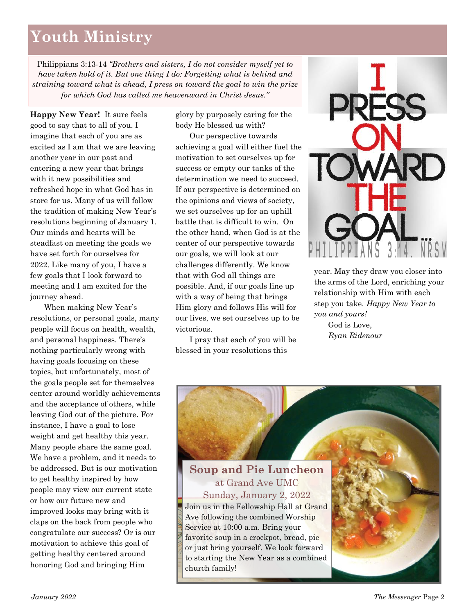# **Youth Ministry**

Philippians 3:13-14 *"Brothers and sisters, I do not consider myself yet to have taken hold of it. But one thing I do: Forgetting what is behind and straining toward what is ahead, I press on toward the goal to win the prize for which God has called me heavenward in Christ Jesus."*

**Happy New Year!** It sure feels good to say that to all of you. I imagine that each of you are as excited as I am that we are leaving another year in our past and entering a new year that brings with it new possibilities and refreshed hope in what God has in store for us. Many of us will follow the tradition of making New Year's resolutions beginning of January 1. Our minds and hearts will be steadfast on meeting the goals we have set forth for ourselves for 2022. Like many of you, I have a few goals that I look forward to meeting and I am excited for the journey ahead.

When making New Year's resolutions, or personal goals, many people will focus on health, wealth, and personal happiness. There's nothing particularly wrong with having goals focusing on these topics, but unfortunately, most of the goals people set for themselves center around worldly achievements and the acceptance of others, while leaving God out of the picture. For instance, I have a goal to lose weight and get healthy this year. Many people share the same goal. We have a problem, and it needs to be addressed. But is our motivation to get healthy inspired by how people may view our current state or how our future new and improved looks may bring with it claps on the back from people who congratulate our success? Or is our motivation to achieve this goal of getting healthy centered around honoring God and bringing Him

glory by purposely caring for the body He blessed us with?

Our perspective towards achieving a goal will either fuel the motivation to set ourselves up for success or empty our tanks of the determination we need to succeed. If our perspective is determined on the opinions and views of society, we set ourselves up for an uphill battle that is difficult to win. On the other hand, when God is at the center of our perspective towards our goals, we will look at our challenges differently. We know that with God all things are possible. And, if our goals line up with a way of being that brings Him glory and follows His will for our lives, we set ourselves up to be victorious.

I pray that each of you will be blessed in your resolutions this



year. May they draw you closer into the arms of the Lord, enriching your relationship with Him with each step you take. *Happy New Year to you and yours!*

God is Love, *Ryan Ridenour*

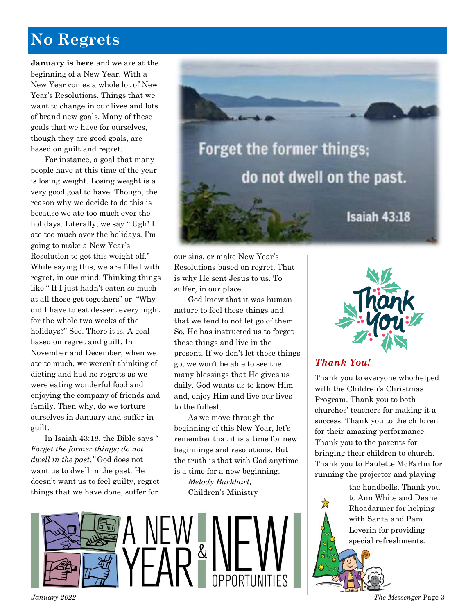# **No Regrets**

**January is here** and we are at the beginning of a New Year. With a New Year comes a whole lot of New Year's Resolutions. Things that we want to change in our lives and lots of brand new goals. Many of these goals that we have for ourselves, though they are good goals, are based on guilt and regret.

For instance, a goal that many people have at this time of the year is losing weight. Losing weight is a very good goal to have. Though, the reason why we decide to do this is because we ate too much over the holidays. Literally, we say " Ugh! I ate too much over the holidays. I'm going to make a New Year's Resolution to get this weight off." While saying this, we are filled with regret, in our mind. Thinking things like " If I just hadn't eaten so much at all those get togethers" or "Why did I have to eat dessert every night for the whole two weeks of the holidays?" See. There it is. A goal based on regret and guilt. In November and December, when we ate to much, we weren't thinking of dieting and had no regrets as we were eating wonderful food and enjoying the company of friends and family. Then why, do we torture ourselves in January and suffer in guilt.

In Isaiah 43:18, the Bible says " *Forget the former things; do not dwell in the past."* God does not want us to dwell in the past. He doesn't want us to feel guilty, regret things that we have done, suffer for



our sins, or make New Year's Resolutions based on regret. That is why He sent Jesus to us. To suffer, in our place.

God knew that it was human nature to feel these things and that we tend to not let go of them. So, He has instructed us to forget these things and live in the present. If we don't let these things go, we won't be able to see the many blessings that He gives us daily. God wants us to know Him and, enjoy Him and live our lives to the fullest.

As we move through the beginning of this New Year, let's remember that it is a time for new beginnings and resolutions. But the truth is that with God anytime is a time for a new beginning. *Melody Burkhart,*  Children's Ministry



#### *Thank You!*

Thank you to everyone who helped with the Children's Christmas Program. Thank you to both churches' teachers for making it a success. Thank you to the children for their amazing performance. Thank you to the parents for bringing their children to church. Thank you to Paulette McFarlin for running the projector and playing

> the handbells. Thank you to Ann White and Deane Rhoadarmer for helping with Santa and Pam Loverin for providing special refreshments.

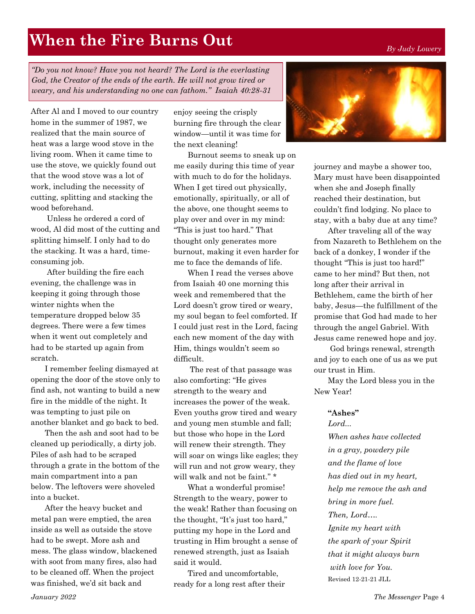#### *By Judy Lowery*

# **When the Fire Burns Out**

*"Do you not know? Have you not heard? The Lord is the everlasting God, the Creator of the ends of the earth. He will not grow tired or weary, and his understanding no one can fathom." Isaiah 40:28-31* 

After Al and I moved to our country home in the summer of 1987, we realized that the main source of heat was a large wood stove in the living room. When it came time to use the stove, we quickly found out that the wood stove was a lot of work, including the necessity of cutting, splitting and stacking the wood beforehand.

Unless he ordered a cord of wood, Al did most of the cutting and splitting himself. I only had to do the stacking. It was a hard, timeconsuming job.

After building the fire each evening, the challenge was in keeping it going through those winter nights when the temperature dropped below 35 degrees. There were a few times when it went out completely and had to be started up again from scratch.

I remember feeling dismayed at opening the door of the stove only to find ash, not wanting to build a new fire in the middle of the night. It was tempting to just pile on another blanket and go back to bed.

Then the ash and soot had to be cleaned up periodically, a dirty job. Piles of ash had to be scraped through a grate in the bottom of the main compartment into a pan below. The leftovers were shoveled into a bucket.

After the heavy bucket and metal pan were emptied, the area inside as well as outside the stove had to be swept. More ash and mess. The glass window, blackened with soot from many fires, also had to be cleaned off. When the project was finished, we'd sit back and

enjoy seeing the crisply burning fire through the clear window—until it was time for the next cleaning!

Burnout seems to sneak up on me easily during this time of year with much to do for the holidays. When I get tired out physically, emotionally, spiritually, or all of the above, one thought seems to play over and over in my mind: "This is just too hard." That thought only generates more burnout, making it even harder for me to face the demands of life.

When I read the verses above from Isaiah 40 one morning this week and remembered that the Lord doesn't grow tired or weary, my soul began to feel comforted. If I could just rest in the Lord, facing each new moment of the day with Him, things wouldn't seem so difficult.

The rest of that passage was also comforting: "He gives strength to the weary and increases the power of the weak. Even youths grow tired and weary and young men stumble and fall; but those who hope in the Lord will renew their strength. They will soar on wings like eagles; they will run and not grow weary, they will walk and not be faint." \*

What a wonderful promise! Strength to the weary, power to the weak! Rather than focusing on the thought, "It's just too hard," putting my hope in the Lord and trusting in Him brought a sense of renewed strength, just as Isaiah said it would.

Tired and uncomfortable, ready for a long rest after their



journey and maybe a shower too, Mary must have been disappointed when she and Joseph finally reached their destination, but couldn't find lodging. No place to stay, with a baby due at any time?

After traveling all of the way from Nazareth to Bethlehem on the back of a donkey, I wonder if the thought "This is just too hard!" came to her mind? But then, not long after their arrival in Bethlehem, came the birth of her baby, Jesus—the fulfillment of the promise that God had made to her through the angel Gabriel. With Jesus came renewed hope and joy.

God brings renewal, strength and joy to each one of us as we put our trust in Him.

May the Lord bless you in the New Year!

#### **"Ashes"**

*Lord...* 

*When ashes have collected in a gray, powdery pile and the flame of love has died out in my heart, help me remove the ash and bring in more fuel. Then, Lord…. Ignite my heart with the spark of your Spirit that it might always burn with love for You.* Revised 12-21-21 JLL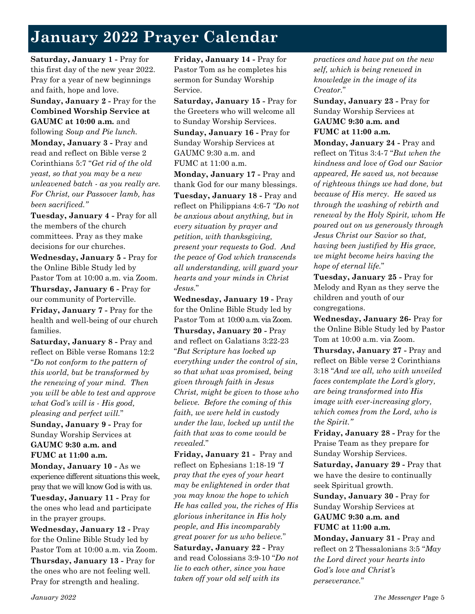# **January 2022 Prayer Calendar**

**Saturday, January 1 -** Pray for this first day of the new year 2022. Pray for a year of new beginnings and faith, hope and love.

**Sunday, January 2 -** Pray for the **Combined Worship Service at GAUMC at 10:00 a.m.** and following *Soup and Pie lunch.* **Monday, January 3 -** Pray and read and reflect on Bible verse 2 Corinthians 5:7 "*Get rid of the old yeast, so that you may be a new unleavened batch - as you really are. For Christ, our Passover lamb, has been sacrificed."*

**Tuesday, January 4 -** Pray for all the members of the church committees. Pray as they make decisions for our churches.

**Wednesday, January 5 -** Pray for the Online Bible Study led by Pastor Tom at 10:00 a.m. via Zoom. **Thursday, January 6 -** Pray for our community of Porterville.

**Friday, January 7 -** Pray for the health and well-being of our church families.

**Saturday, January 8 -** Pray and reflect on Bible verse Romans 12:2 "*Do not conform to the pattern of this world, but be transformed by the renewing of your mind. Then you will be able to test and approve what God's will is - His good, pleasing and perfect will.*"

**Sunday, January 9 -** Pray for Sunday Worship Services at **GAUMC 9:30 a.m. and FUMC at 11:00 a.m.**

**Monday, January 10 -** As we experience different situations this week, pray that we will know God is with us.

**Tuesday, January 11 -** Pray for the ones who lead and participate in the prayer groups.

**Wednesday, January 12 -** Pray for the Online Bible Study led by Pastor Tom at 10:00 a.m. via Zoom. **Thursday, January 13 -** Pray for the ones who are not feeling well. Pray for strength and healing.

**Friday, January 14 -** Pray for Pastor Tom as he completes his sermon for Sunday Worship Service.

**Saturday, January 15 -** Pray for the Greeters who will welcome all to Sunday Worship Services.

**Sunday, January 16 -** Pray for Sunday Worship Services at GAUMC 9:30 a.m. and FUMC at 11:00 a.m.

**Monday, January 17 -** Pray and thank God for our many blessings. **Tuesday, January 18 -** Pray and reflect on Philippians 4:6-7 *"Do not be anxious about anything, but in every situation by prayer and petition, with thanksgiving, present your requests to God. And the peace of God which transcends all understanding, will guard your hearts and your minds in Christ Jesus.*"

**Wednesday, January 19 -** Pray for the Online Bible Study led by Pastor Tom at 10:00 a.m. via Zoom. **Thursday, January 20 -** Pray and reflect on Galatians 3:22-23 "*But Scripture has locked up everything under the control of sin, so that what was promised, being given through faith in Jesus Christ, might be given to those who believe. Before the coming of this faith, we were held in custody under the law, locked up until the faith that was to come would be revealed.*"

**Friday, January 21 -** Pray and reflect on Ephesians 1:18-19 *"I pray that the eyes of your heart may be enlightened in order that you may know the hope to which He has called you, the riches of His glorious inheritance in His holy people, and His incomparably great power for us who believe.*" **Saturday, January 22 -** Pray and read Colossians 3:9-10 "*Do not lie to each other, since you have taken off your old self with its* 

*practices and have put on the new self, which is being renewed in knowledge in the image of its Creator.*"

**Sunday, January 23 -** Pray for Sunday Worship Services at **GAUMC 9:30 a.m. and FUMC at 11:00 a.m.**

**Monday, January 24 -** Pray and reflect on Titus 3:4-7 "*But when the kindness and love of God our Savior appeared, He saved us, not because of righteous things we had done, but because of His mercy. He saved us through the washing of rebirth and renewal by the Holy Spirit, whom He poured out on us generously through Jesus Christ our Savior so that, having been justified by His grace, we might become heirs having the hope of eternal life.*"

**Tuesday, January 25 -** Pray for Melody and Ryan as they serve the children and youth of our congregations.

**Wednesday, January 26-** Pray for the Online Bible Study led by Pastor Tom at 10:00 a.m. via Zoom.

**Thursday, January 27 -** Pray and reflect on Bible verse 2 Corinthians 3:18 "*And we all, who with unveiled faces contemplate the Lord's glory, are being transformed into His image with ever-increasing glory, which comes from the Lord, who is the Spirit."*

**Friday, January 28 -** Pray for the Praise Team as they prepare for Sunday Worship Services.

**Saturday, January 29 -** Pray that we have the desire to continually seek Spiritual growth.

**Sunday, January 30 -** Pray for Sunday Worship Services at **GAUMC 9:30 a.m. and FUMC at 11:00 a.m.**

**Monday, January 31 -** Pray and reflect on 2 Thessalonians 3:5 "*May the Lord direct your hearts into God's love and Christ's perseverance.*"